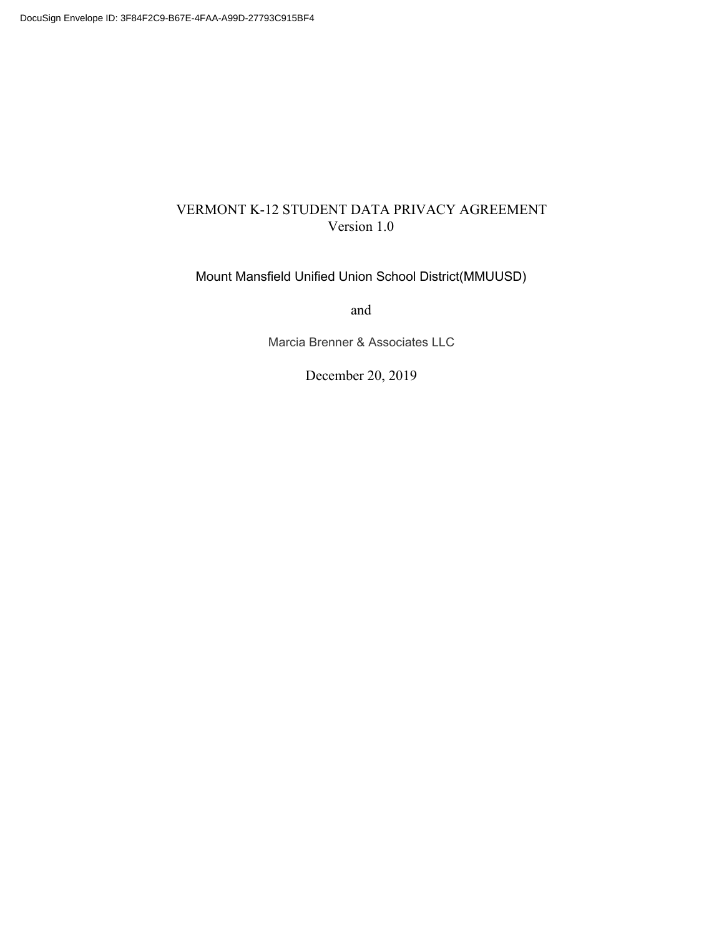## VERMONT K-12 STUDENT DATA PRIVACY AGREEMENT Version 1.0

## Mount Mansfield Unified Union School District(MMUUSD)

and

Marcia Brenner & Associates LLC

December 20, 2019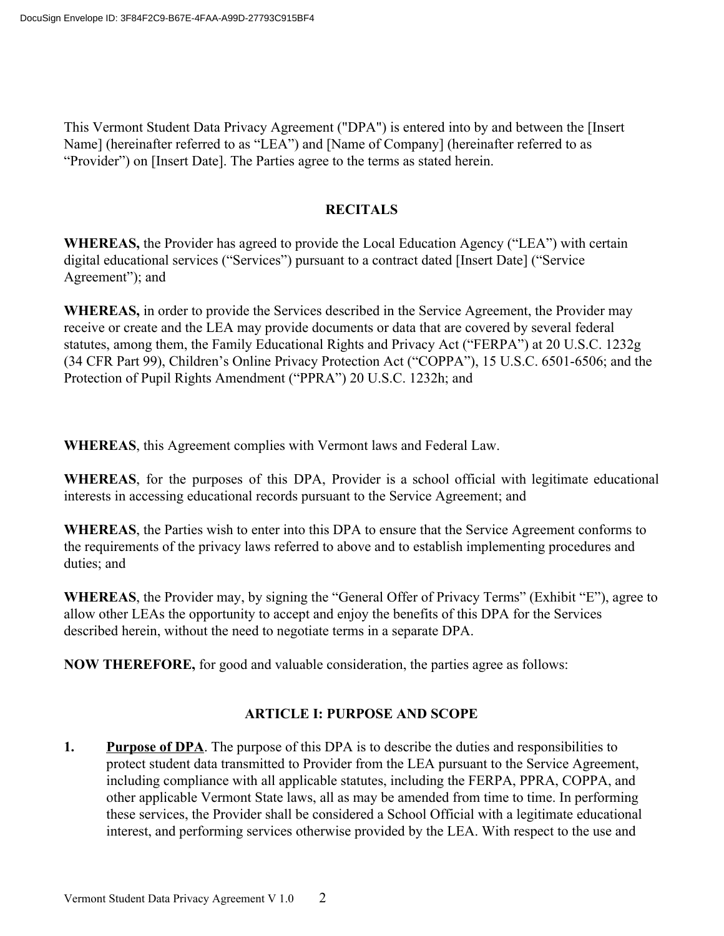This Vermont Student Data Privacy Agreement ("DPA") is entered into by and between the [Insert Name] (hereinafter referred to as "LEA") and [Name of Company] (hereinafter referred to as "Provider") on [Insert Date]. The Parties agree to the terms as stated herein.

### **RECITALS**

**WHEREAS,** the Provider has agreed to provide the Local Education Agency ("LEA") with certain digital educational services ("Services") pursuant to a contract dated [Insert Date] ("Service Agreement"); and

**WHEREAS,** in order to provide the Services described in the Service Agreement, the Provider may receive or create and the LEA may provide documents or data that are covered by several federal statutes, among them, the Family Educational Rights and Privacy Act ("FERPA") at 20 U.S.C. 1232g (34 CFR Part 99), Children's Online Privacy Protection Act ("COPPA"), 15 U.S.C. 6501-6506; and the Protection of Pupil Rights Amendment ("PPRA") 20 U.S.C. 1232h; and

**WHEREAS**, this Agreement complies with Vermont laws and Federal Law.

**WHEREAS**, for the purposes of this DPA, Provider is a school official with legitimate educational interests in accessing educational records pursuant to the Service Agreement; and

**WHEREAS**, the Parties wish to enter into this DPA to ensure that the Service Agreement conforms to the requirements of the privacy laws referred to above and to establish implementing procedures and duties; and

**WHEREAS**, the Provider may, by signing the "General Offer of Privacy Terms" (Exhibit "E"), agree to allow other LEAs the opportunity to accept and enjoy the benefits of this DPA for the Services described herein, without the need to negotiate terms in a separate DPA.

**NOW THEREFORE,** for good and valuable consideration, the parties agree as follows:

## **ARTICLE I: PURPOSE AND SCOPE**

**1. Purpose of DPA**. The purpose of this DPA is to describe the duties and responsibilities to protect student data transmitted to Provider from the LEA pursuant to the Service Agreement, including compliance with all applicable statutes, including the FERPA, PPRA, COPPA, and other applicable Vermont State laws, all as may be amended from time to time. In performing these services, the Provider shall be considered a School Official with a legitimate educational interest, and performing services otherwise provided by the LEA. With respect to the use and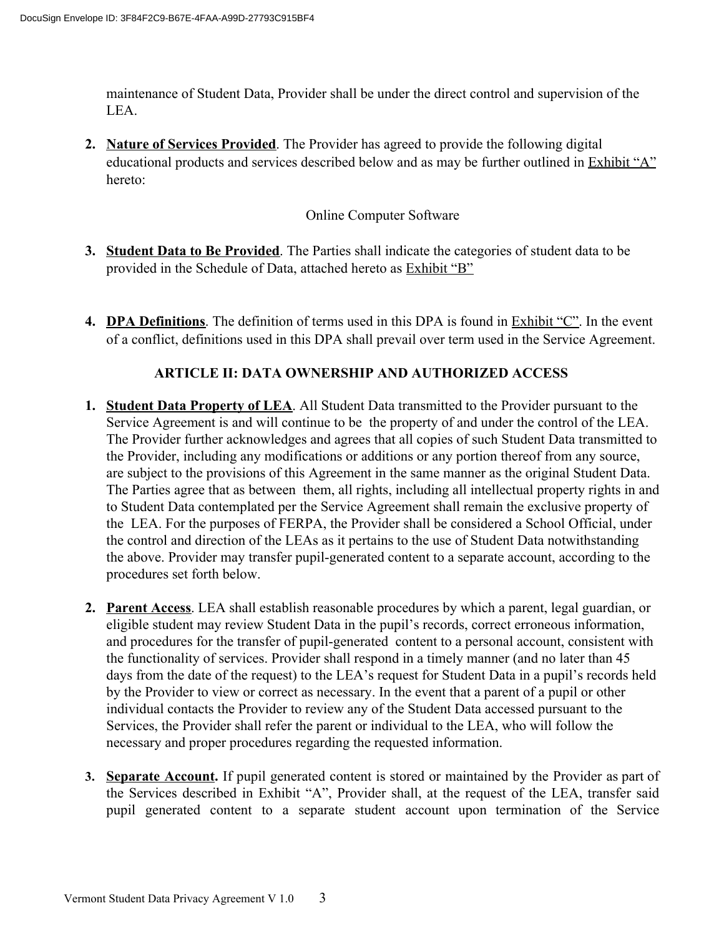maintenance of Student Data, Provider shall be under the direct control and supervision of the LEA.

**2. Nature of Services Provided**. The Provider has agreed to provide the following digital educational products and services described below and as may be further outlined in Exhibit "A" hereto:

## Online Computer Software

- **3. Student Data to Be Provided**. The Parties shall indicate the categories of student data to be provided in the Schedule of Data, attached hereto as Exhibit "B"
- **4. DPA Definitions**. The definition of terms used in this DPA is found in Exhibit "C". In the event of a conflict, definitions used in this DPA shall prevail over term used in the Service Agreement.

## **ARTICLE II: DATA OWNERSHIP AND AUTHORIZED ACCESS**

- **1. Student Data Property of LEA**. All Student Data transmitted to the Provider pursuant to the Service Agreement is and will continue to be the property of and under the control of the LEA. The Provider further acknowledges and agrees that all copies of such Student Data transmitted to the Provider, including any modifications or additions or any portion thereof from any source, are subject to the provisions of this Agreement in the same manner as the original Student Data. The Parties agree that as between them, all rights, including all intellectual property rights in and to Student Data contemplated per the Service Agreement shall remain the exclusive property of the LEA. For the purposes of FERPA, the Provider shall be considered a School Official, under the control and direction of the LEAs as it pertains to the use of Student Data notwithstanding the above. Provider may transfer pupil-generated content to a separate account, according to the procedures set forth below.
- **2. Parent Access**. LEA shall establish reasonable procedures by which a parent, legal guardian, or eligible student may review Student Data in the pupil's records, correct erroneous information, and procedures for the transfer of pupil-generated content to a personal account, consistent with the functionality of services. Provider shall respond in a timely manner (and no later than 45 days from the date of the request) to the LEA's request for Student Data in a pupil's records held by the Provider to view or correct as necessary. In the event that a parent of a pupil or other individual contacts the Provider to review any of the Student Data accessed pursuant to the Services, the Provider shall refer the parent or individual to the LEA, who will follow the necessary and proper procedures regarding the requested information.
- **3. Separate Account.** If pupil generated content is stored or maintained by the Provider as part of the Services described in Exhibit "A", Provider shall, at the request of the LEA, transfer said pupil generated content to a separate student account upon termination of the Service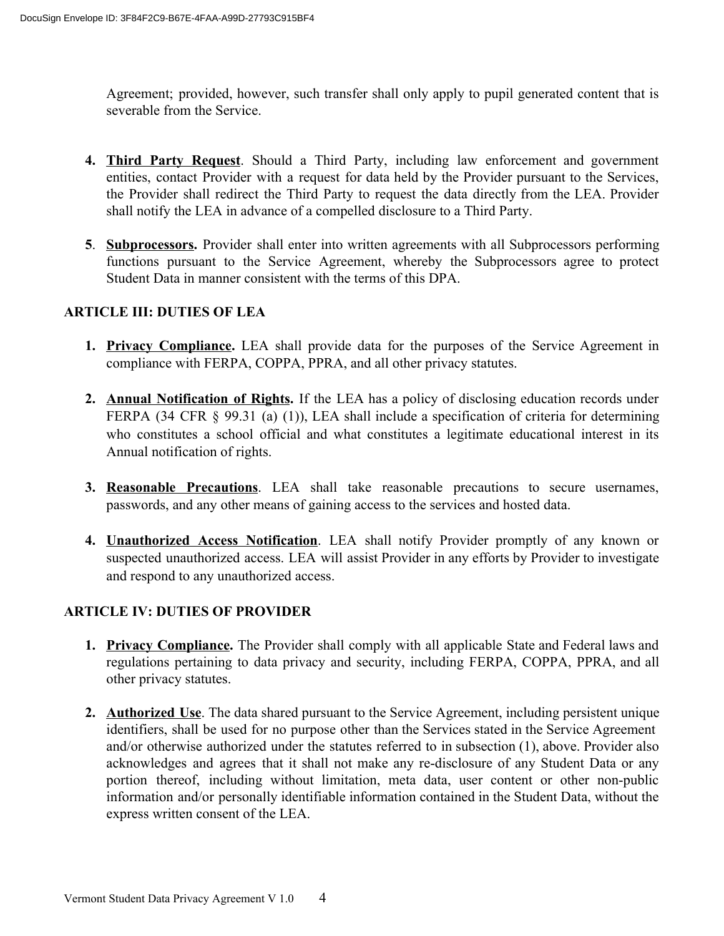Agreement; provided, however, such transfer shall only apply to pupil generated content that is severable from the Service.

- **4. Third Party Request**. Should a Third Party, including law enforcement and government entities, contact Provider with a request for data held by the Provider pursuant to the Services, the Provider shall redirect the Third Party to request the data directly from the LEA. Provider shall notify the LEA in advance of a compelled disclosure to a Third Party.
- **5**. **Subprocessors.** Provider shall enter into written agreements with all Subprocessors performing functions pursuant to the Service Agreement, whereby the Subprocessors agree to protect Student Data in manner consistent with the terms of this DPA.

## **ARTICLE III: DUTIES OF LEA**

- **1. Privacy Compliance.** LEA shall provide data for the purposes of the Service Agreement in compliance with FERPA, COPPA, PPRA, and all other privacy statutes.
- **2. Annual Notification of Rights.** If the LEA has a policy of disclosing education records under FERPA (34 CFR § 99.31 (a) (1)), LEA shall include a specification of criteria for determining who constitutes a school official and what constitutes a legitimate educational interest in its Annual notification of rights.
- **3. Reasonable Precautions**. LEA shall take reasonable precautions to secure usernames, passwords, and any other means of gaining access to the services and hosted data.
- **4. Unauthorized Access Notification**. LEA shall notify Provider promptly of any known or suspected unauthorized access. LEA will assist Provider in any efforts by Provider to investigate and respond to any unauthorized access.

## **ARTICLE IV: DUTIES OF PROVIDER**

- **1. Privacy Compliance.** The Provider shall comply with all applicable State and Federal laws and regulations pertaining to data privacy and security, including FERPA, COPPA, PPRA, and all other privacy statutes.
- **2. Authorized Use**. The data shared pursuant to the Service Agreement, including persistent unique identifiers, shall be used for no purpose other than the Services stated in the Service Agreement and/or otherwise authorized under the statutes referred to in subsection (1), above. Provider also acknowledges and agrees that it shall not make any re-disclosure of any Student Data or any portion thereof, including without limitation, meta data, user content or other non-public information and/or personally identifiable information contained in the Student Data, without the express written consent of the LEA.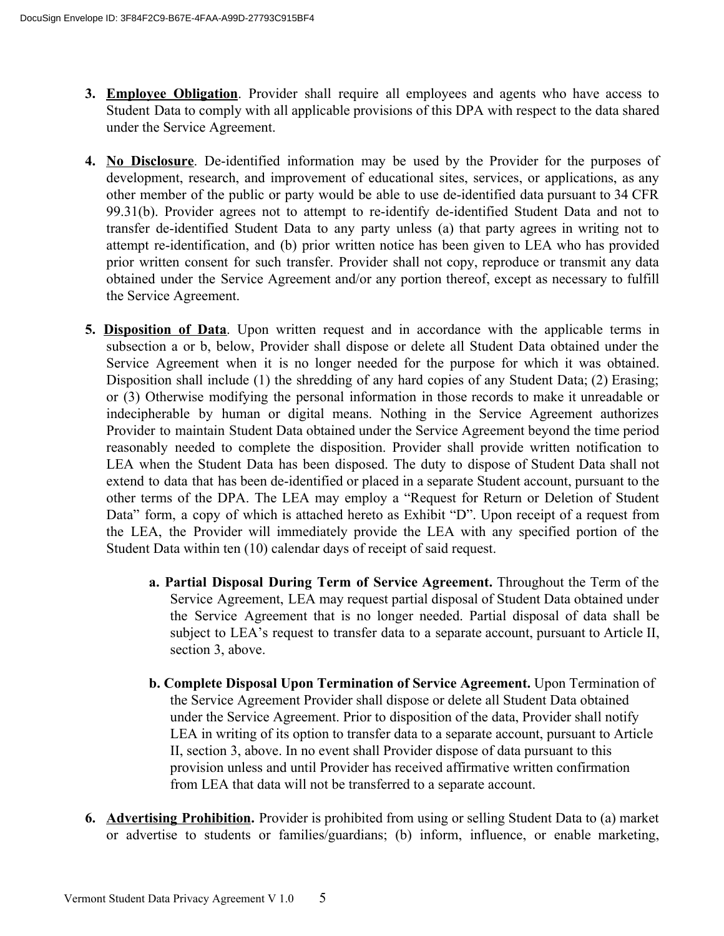- **3. Employee Obligation**. Provider shall require all employees and agents who have access to Student Data to comply with all applicable provisions of this DPA with respect to the data shared under the Service Agreement.
- **4. No Disclosure**. De-identified information may be used by the Provider for the purposes of development, research, and improvement of educational sites, services, or applications, as any other member of the public or party would be able to use de-identified data pursuant to 34 CFR 99.31(b). Provider agrees not to attempt to re-identify de-identified Student Data and not to transfer de-identified Student Data to any party unless (a) that party agrees in writing not to attempt re-identification, and (b) prior written notice has been given to LEA who has provided prior written consent for such transfer. Provider shall not copy, reproduce or transmit any data obtained under the Service Agreement and/or any portion thereof, except as necessary to fulfill the Service Agreement.
- **5. Disposition of Data**. Upon written request and in accordance with the applicable terms in subsection a or b, below, Provider shall dispose or delete all Student Data obtained under the Service Agreement when it is no longer needed for the purpose for which it was obtained. Disposition shall include (1) the shredding of any hard copies of any Student Data; (2) Erasing; or (3) Otherwise modifying the personal information in those records to make it unreadable or indecipherable by human or digital means. Nothing in the Service Agreement authorizes Provider to maintain Student Data obtained under the Service Agreement beyond the time period reasonably needed to complete the disposition. Provider shall provide written notification to LEA when the Student Data has been disposed. The duty to dispose of Student Data shall not extend to data that has been de-identified or placed in a separate Student account, pursuant to the other terms of the DPA. The LEA may employ a "Request for Return or Deletion of Student Data" form, a copy of which is attached hereto as Exhibit "D". Upon receipt of a request from the LEA, the Provider will immediately provide the LEA with any specified portion of the Student Data within ten (10) calendar days of receipt of said request.
	- **a. Partial Disposal During Term of Service Agreement.** Throughout the Term of the Service Agreement, LEA may request partial disposal of Student Data obtained under the Service Agreement that is no longer needed. Partial disposal of data shall be subject to LEA's request to transfer data to a separate account, pursuant to Article II, section 3, above.
	- **b. Complete Disposal Upon Termination of Service Agreement.** Upon Termination of the Service Agreement Provider shall dispose or delete all Student Data obtained under the Service Agreement. Prior to disposition of the data, Provider shall notify LEA in writing of its option to transfer data to a separate account, pursuant to Article II, section 3, above. In no event shall Provider dispose of data pursuant to this provision unless and until Provider has received affirmative written confirmation from LEA that data will not be transferred to a separate account.
- **6. Advertising Prohibition.** Provider is prohibited from using or selling Student Data to (a) market or advertise to students or families/guardians; (b) inform, influence, or enable marketing,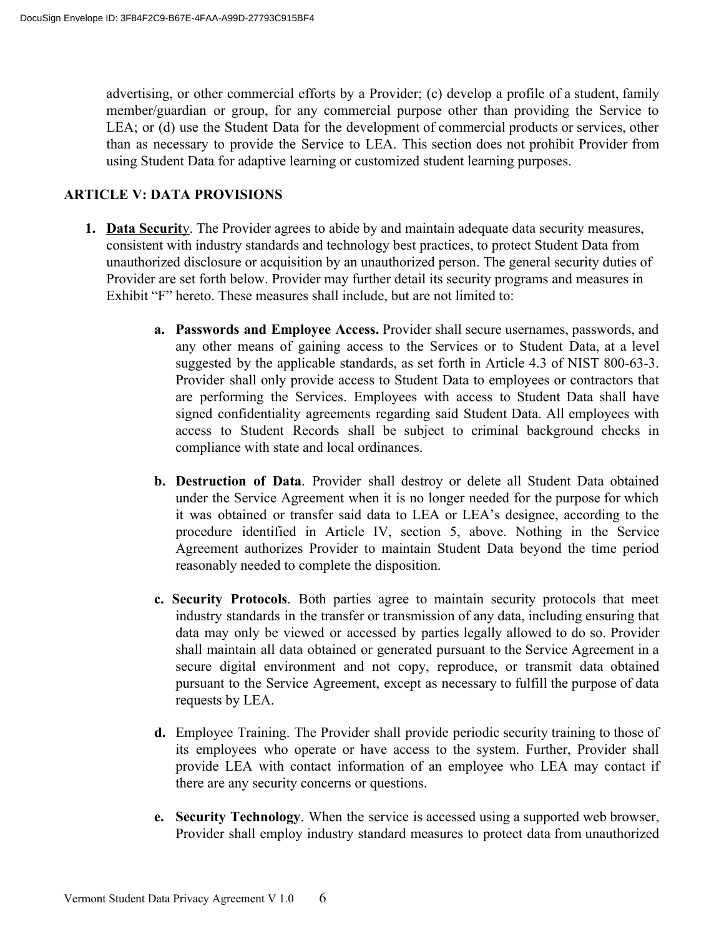advertising, or other commercial efforts by a Provider; (c) develop a profile of a student, family member/guardian or group, for any commercial purpose other than providing the Service to LEA; or (d) use the Student Data for the development of commercial products or services, other than as necessary to provide the Service to LEA. This section does not prohibit Provider from using Student Data for adaptive learning or customized student learning purposes.

## **ARTICLE V: DATA PROVISIONS**

- **1. Data Securit**y. The Provider agrees to abide by and maintain adequate data security measures, consistent with industry standards and technology best practices, to protect Student Data from unauthorized disclosure or acquisition by an unauthorized person. The general security duties of Provider are set forth below. Provider may further detail its security programs and measures in Exhibit "F" hereto. These measures shall include, but are not limited to:
	- **a. Passwords and Employee Access.** Provider shall secure usernames, passwords, and any other means of gaining access to the Services or to Student Data, at a level suggested by the applicable standards, as set forth in Article 4.3 of NIST 800-63-3. Provider shall only provide access to Student Data to employees or contractors that are performing the Services. Employees with access to Student Data shall have signed confidentiality agreements regarding said Student Data. All employees with access to Student Records shall be subject to criminal background checks in compliance with state and local ordinances.
	- **b. Destruction of Data**. Provider shall destroy or delete all Student Data obtained under the Service Agreement when it is no longer needed for the purpose for which it was obtained or transfer said data to LEA or LEA's designee, according to the procedure identified in Article IV, section 5, above. Nothing in the Service Agreement authorizes Provider to maintain Student Data beyond the time period reasonably needed to complete the disposition.
	- **c. Security Protocols**. Both parties agree to maintain security protocols that meet industry standards in the transfer or transmission of any data, including ensuring that data may only be viewed or accessed by parties legally allowed to do so. Provider shall maintain all data obtained or generated pursuant to the Service Agreement in a secure digital environment and not copy, reproduce, or transmit data obtained pursuant to the Service Agreement, except as necessary to fulfill the purpose of data requests by LEA.
	- **d.** Employee Training. The Provider shall provide periodic security training to those of its employees who operate or have access to the system. Further, Provider shall provide LEA with contact information of an employee who LEA may contact if there are any security concerns or questions.
	- **e. Security Technology**. When the service is accessed using a supported web browser, Provider shall employ industry standard measures to protect data from unauthorized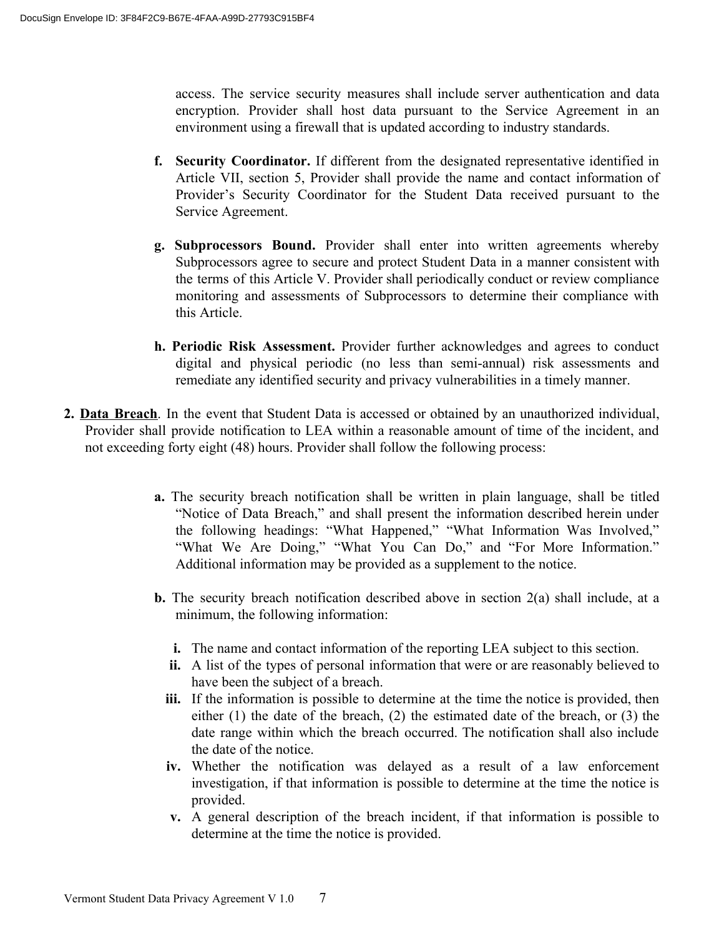access. The service security measures shall include server authentication and data encryption. Provider shall host data pursuant to the Service Agreement in an environment using a firewall that is updated according to industry standards.

- **f. Security Coordinator.** If different from the designated representative identified in Article VII, section 5, Provider shall provide the name and contact information of Provider's Security Coordinator for the Student Data received pursuant to the Service Agreement.
- **g. Subprocessors Bound.** Provider shall enter into written agreements whereby Subprocessors agree to secure and protect Student Data in a manner consistent with the terms of this Article V. Provider shall periodically conduct or review compliance monitoring and assessments of Subprocessors to determine their compliance with this Article.
- **h. Periodic Risk Assessment.** Provider further acknowledges and agrees to conduct digital and physical periodic (no less than semi-annual) risk assessments and remediate any identified security and privacy vulnerabilities in a timely manner.
- **2. Data Breach**. In the event that Student Data is accessed or obtained by an unauthorized individual, Provider shall provide notification to LEA within a reasonable amount of time of the incident, and not exceeding forty eight (48) hours. Provider shall follow the following process:
	- **a.** The security breach notification shall be written in plain language, shall be titled "Notice of Data Breach," and shall present the information described herein under the following headings: "What Happened," "What Information Was Involved," "What We Are Doing," "What You Can Do," and "For More Information." Additional information may be provided as a supplement to the notice.
	- **b.** The security breach notification described above in section 2(a) shall include, at a minimum, the following information:
		- **i.** The name and contact information of the reporting LEA subject to this section.
		- **ii.** A list of the types of personal information that were or are reasonably believed to have been the subject of a breach.
		- **iii.** If the information is possible to determine at the time the notice is provided, then either (1) the date of the breach, (2) the estimated date of the breach, or (3) the date range within which the breach occurred. The notification shall also include the date of the notice.
		- **iv.** Whether the notification was delayed as a result of a law enforcement investigation, if that information is possible to determine at the time the notice is provided.
		- **v.** A general description of the breach incident, if that information is possible to determine at the time the notice is provided.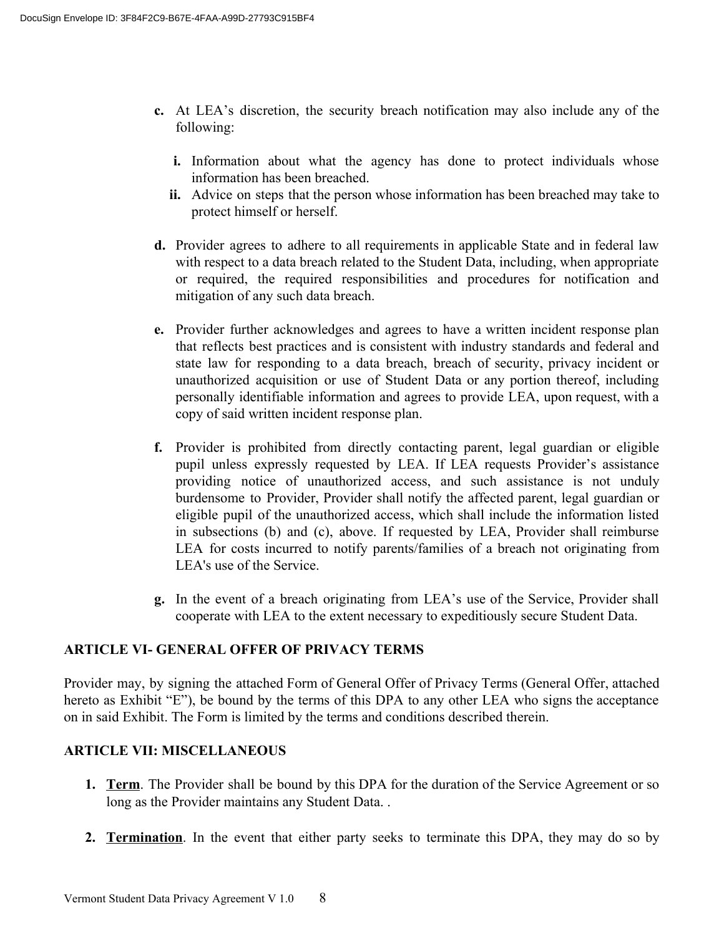- **c.** At LEA's discretion, the security breach notification may also include any of the following:
	- **i.** Information about what the agency has done to protect individuals whose information has been breached.
	- **ii.** Advice on steps that the person whose information has been breached may take to protect himself or herself.
- **d.** Provider agrees to adhere to all requirements in applicable State and in federal law with respect to a data breach related to the Student Data, including, when appropriate or required, the required responsibilities and procedures for notification and mitigation of any such data breach.
- **e.** Provider further acknowledges and agrees to have a written incident response plan that reflects best practices and is consistent with industry standards and federal and state law for responding to a data breach, breach of security, privacy incident or unauthorized acquisition or use of Student Data or any portion thereof, including personally identifiable information and agrees to provide LEA, upon request, with a copy of said written incident response plan.
- **f.** Provider is prohibited from directly contacting parent, legal guardian or eligible pupil unless expressly requested by LEA. If LEA requests Provider's assistance providing notice of unauthorized access, and such assistance is not unduly burdensome to Provider, Provider shall notify the affected parent, legal guardian or eligible pupil of the unauthorized access, which shall include the information listed in subsections (b) and (c), above. If requested by LEA, Provider shall reimburse LEA for costs incurred to notify parents/families of a breach not originating from LEA's use of the Service.
- **g.** In the event of a breach originating from LEA's use of the Service, Provider shall cooperate with LEA to the extent necessary to expeditiously secure Student Data.

## **ARTICLE VI- GENERAL OFFER OF PRIVACY TERMS**

Provider may, by signing the attached Form of General Offer of Privacy Terms (General Offer, attached hereto as Exhibit "E"), be bound by the terms of this DPA to any other LEA who signs the acceptance on in said Exhibit. The Form is limited by the terms and conditions described therein.

## **ARTICLE VII: MISCELLANEOUS**

- **1. Term**. The Provider shall be bound by this DPA for the duration of the Service Agreement or so long as the Provider maintains any Student Data. .
- **2. Termination**. In the event that either party seeks to terminate this DPA, they may do so by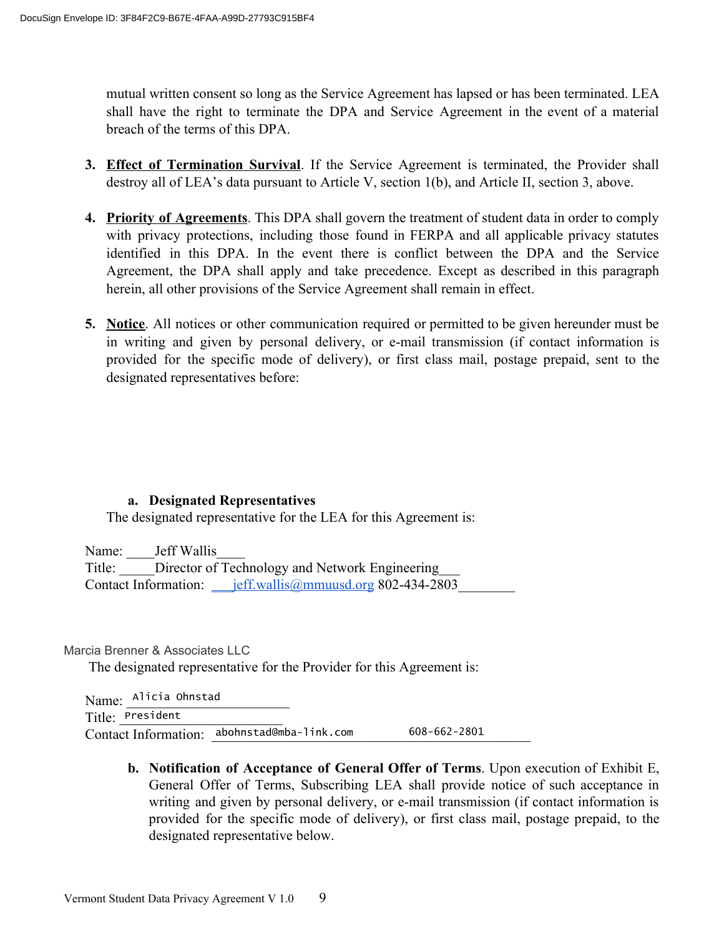mutual written consent so long as the Service Agreement has lapsed or has been terminated. LEA shall have the right to terminate the DPA and Service Agreement in the event of a material breach of the terms of this DPA.

- **3. Effect of Termination Survival**. If the Service Agreement is terminated, the Provider shall destroy all of LEA's data pursuant to Article V, section 1(b), and Article II, section 3, above.
- **4. Priority of Agreements**. This DPA shall govern the treatment of student data in order to comply with privacy protections, including those found in FERPA and all applicable privacy statutes identified in this DPA. In the event there is conflict between the DPA and the Service Agreement, the DPA shall apply and take precedence. Except as described in this paragraph herein, all other provisions of the Service Agreement shall remain in effect.
- **5. Notice**. All notices or other communication required or permitted to be given hereunder must be in writing and given by personal delivery, or e-mail transmission (if contact information is provided for the specific mode of delivery), or first class mail, postage prepaid, sent to the designated representatives before:

## **a. Designated Representatives**

The designated representative for the LEA for this Agreement is:

Name: Jeff Wallis

Title: Director of Technology and Network Engineering Contact Information: \_\_\_\_<u>jeff.wallis@mmuusd.org</u> 802-434-2803

Marcia Brenner & Associates LLC

The designated representative for the Provider for this Agreement is:

Name: Alicia Ohnstad Title: President Contact Information: abohnstad@mba-link.com 608-662-2801 608-662-2801

**b. Notification of Acceptance of General Offer of Terms**. Upon execution of Exhibit E, General Offer of Terms, Subscribing LEA shall provide notice of such acceptance in writing and given by personal delivery, or e-mail transmission (if contact information is provided for the specific mode of delivery), or first class mail, postage prepaid, to the designated representative below.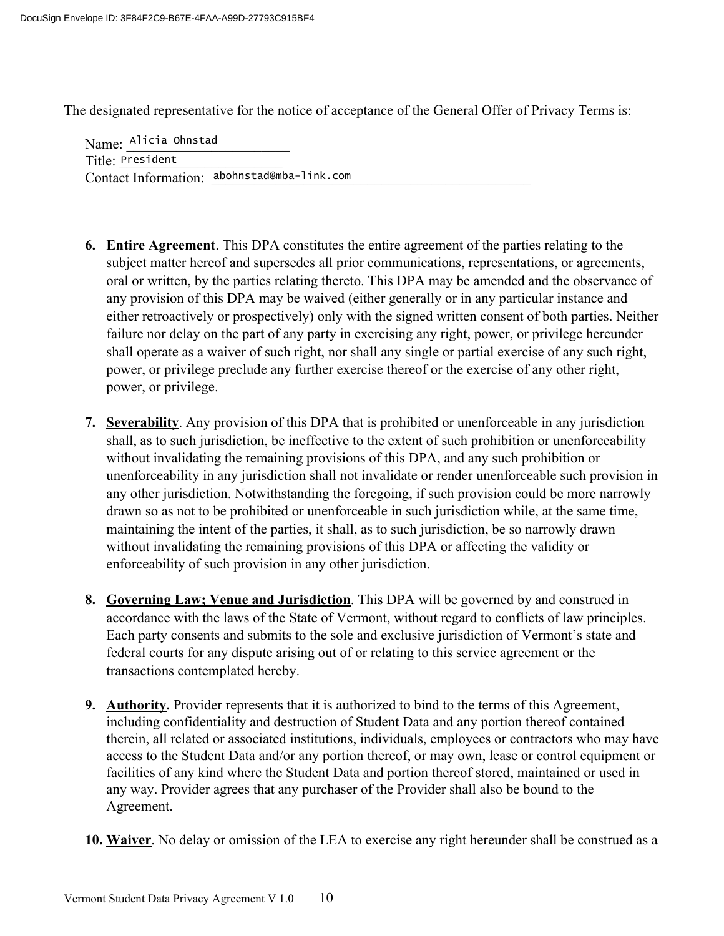The designated representative for the notice of acceptance of the General Offer of Privacy Terms is:

| Name: Alicia Ohnstad |                                             |  |
|----------------------|---------------------------------------------|--|
| Title: President     |                                             |  |
|                      | Contact Information: abohnstad@mba-link.com |  |

- **6. Entire Agreement**. This DPA constitutes the entire agreement of the parties relating to the subject matter hereof and supersedes all prior communications, representations, or agreements, oral or written, by the parties relating thereto. This DPA may be amended and the observance of any provision of this DPA may be waived (either generally or in any particular instance and either retroactively or prospectively) only with the signed written consent of both parties. Neither failure nor delay on the part of any party in exercising any right, power, or privilege hereunder shall operate as a waiver of such right, nor shall any single or partial exercise of any such right, power, or privilege preclude any further exercise thereof or the exercise of any other right, power, or privilege.
- **7. Severability**. Any provision of this DPA that is prohibited or unenforceable in any jurisdiction shall, as to such jurisdiction, be ineffective to the extent of such prohibition or unenforceability without invalidating the remaining provisions of this DPA, and any such prohibition or unenforceability in any jurisdiction shall not invalidate or render unenforceable such provision in any other jurisdiction. Notwithstanding the foregoing, if such provision could be more narrowly drawn so as not to be prohibited or unenforceable in such jurisdiction while, at the same time, maintaining the intent of the parties, it shall, as to such jurisdiction, be so narrowly drawn without invalidating the remaining provisions of this DPA or affecting the validity or enforceability of such provision in any other jurisdiction.
- **8. Governing Law; Venue and Jurisdiction**. This DPA will be governed by and construed in accordance with the laws of the State of Vermont, without regard to conflicts of law principles. Each party consents and submits to the sole and exclusive jurisdiction of Vermont's state and federal courts for any dispute arising out of or relating to this service agreement or the transactions contemplated hereby.
- **9. Authority.** Provider represents that it is authorized to bind to the terms of this Agreement, including confidentiality and destruction of Student Data and any portion thereof contained therein, all related or associated institutions, individuals, employees or contractors who may have access to the Student Data and/or any portion thereof, or may own, lease or control equipment or facilities of any kind where the Student Data and portion thereof stored, maintained or used in any way. Provider agrees that any purchaser of the Provider shall also be bound to the Agreement.
- **10. Waiver**. No delay or omission of the LEA to exercise any right hereunder shall be construed as a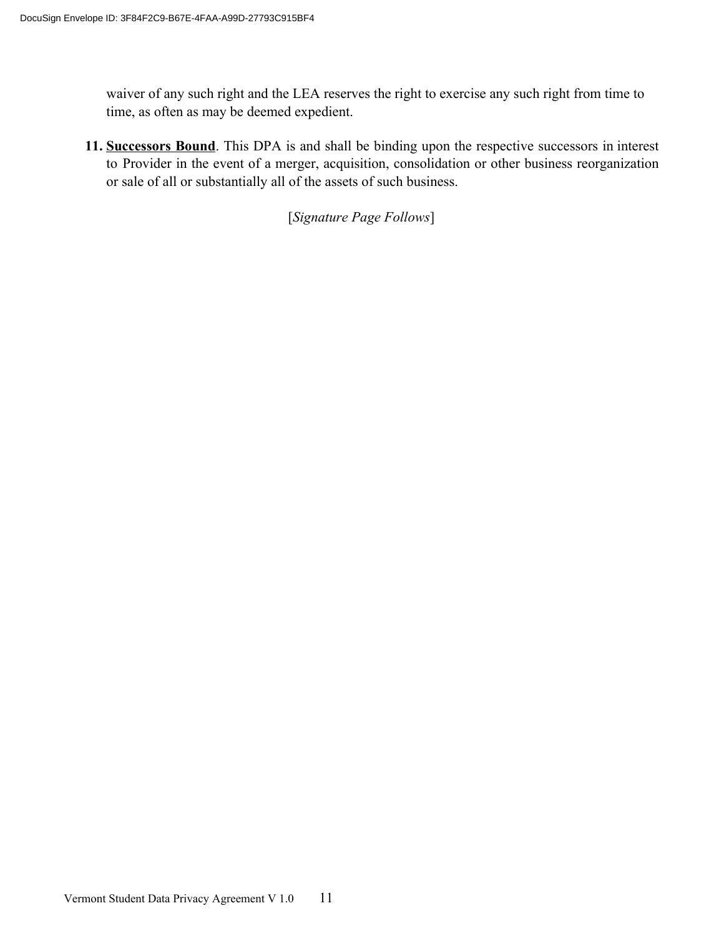waiver of any such right and the LEA reserves the right to exercise any such right from time to time, as often as may be deemed expedient.

**11. Successors Bound**. This DPA is and shall be binding upon the respective successors in interest to Provider in the event of a merger, acquisition, consolidation or other business reorganization or sale of all or substantially all of the assets of such business.

[*Signature Page Follows*]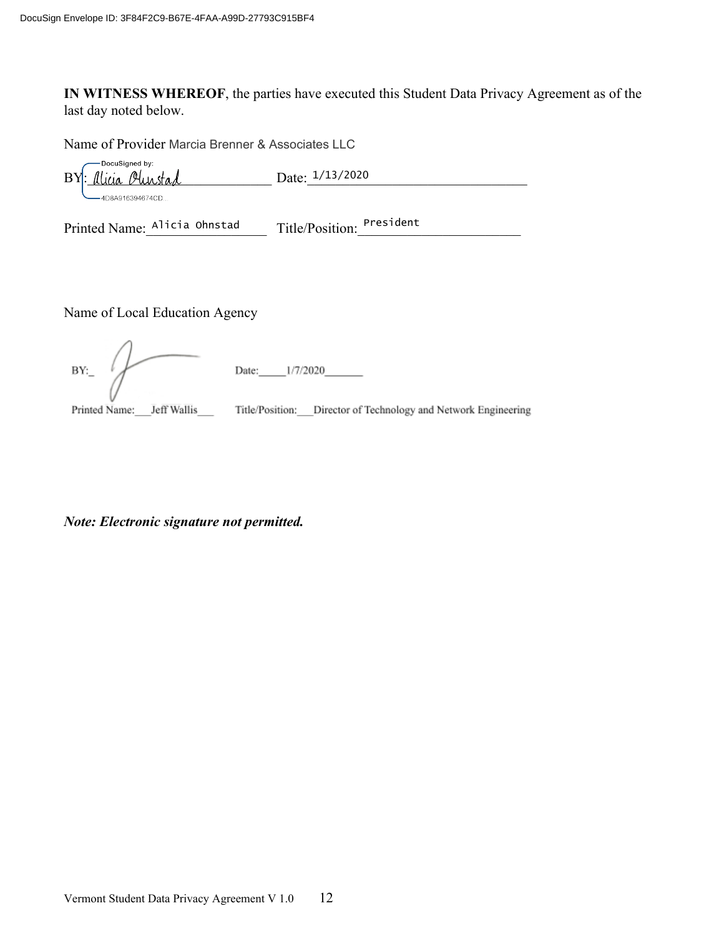**IN WITNESS WHEREOF**, the parties have executed this Student Data Privacy Agreement as of the last day noted below.

Name of Provider Marcia Brenner & Associates LLC

DocuSianed by: BY:\_\_\_\_\_\_\_\_\_\_\_\_\_\_\_\_\_\_\_\_\_\_\_\_\_\_ Date:\_\_\_\_\_\_\_\_\_\_\_\_\_\_\_\_\_\_\_\_\_\_\_\_\_\_\_\_\_\_\_ 1/13/2020-<br>4D8A916394674CD...

Printed Name: Alicia Ohnstad Title/Position: President

Name of Local Education Agency

Date:  $1/7/2020$  $BY:$ Printed Name: Jeff Wallis \_\_\_\_\_ Title/Position: \_\_\_ Director of Technology and Network Engineering

*Note: Electronic signature not permitted.*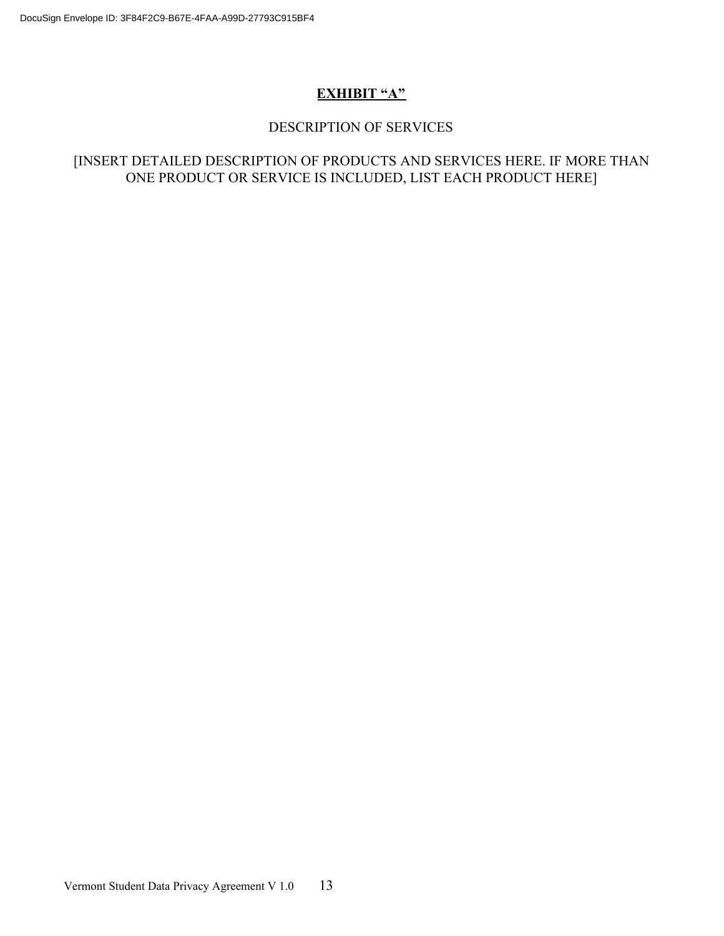## **EXHIBIT "A"**

#### DESCRIPTION OF SERVICES

## [INSERT DETAILED DESCRIPTION OF PRODUCTS AND SERVICES HERE. IF MORE THAN ONE PRODUCT OR SERVICE IS INCLUDED, LIST EACH PRODUCT HERE]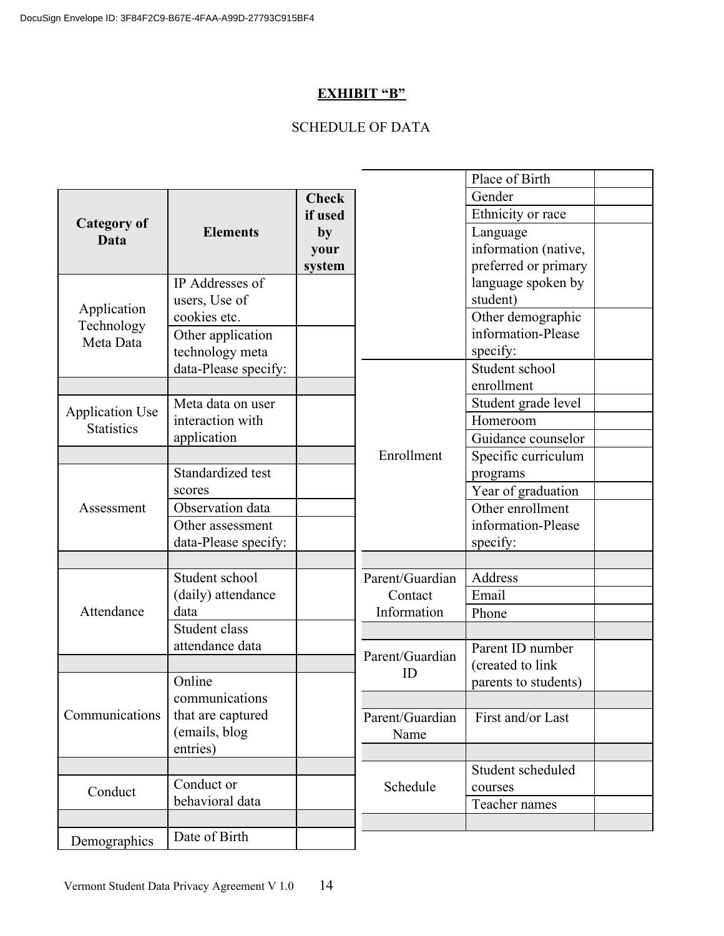## **EXHIBIT "B"**

## SCHEDULE OF DATA

|                                             |                      |              |                 | Place of Birth       |  |
|---------------------------------------------|----------------------|--------------|-----------------|----------------------|--|
|                                             |                      | <b>Check</b> |                 | Gender               |  |
|                                             |                      | if used      |                 | Ethnicity or race    |  |
| <b>Category of</b><br><b>Data</b>           | <b>Elements</b>      | by           |                 | Language             |  |
|                                             |                      | your         |                 | information (native, |  |
|                                             |                      | system       |                 | preferred or primary |  |
|                                             | IP Addresses of      |              |                 | language spoken by   |  |
|                                             | users, Use of        |              |                 | student)             |  |
| Application                                 | cookies etc.         |              |                 | Other demographic    |  |
| Technology<br>Meta Data                     | Other application    |              |                 | information-Please   |  |
|                                             | technology meta      |              |                 | specify:             |  |
|                                             | data-Please specify: |              |                 | Student school       |  |
|                                             |                      |              |                 | enrollment           |  |
|                                             | Meta data on user    |              |                 | Student grade level  |  |
| <b>Application Use</b><br><b>Statistics</b> | interaction with     |              |                 | Homeroom             |  |
|                                             | application          |              |                 | Guidance counselor   |  |
|                                             |                      |              | Enrollment      | Specific curriculum  |  |
|                                             | Standardized test    |              |                 | programs             |  |
|                                             | scores               |              |                 | Year of graduation   |  |
| Assessment                                  | Observation data     |              |                 | Other enrollment     |  |
|                                             | Other assessment     |              |                 | information-Please   |  |
|                                             | data-Please specify: |              |                 | specify:             |  |
|                                             |                      |              |                 |                      |  |
|                                             | Student school       |              | Parent/Guardian | Address              |  |
|                                             | (daily) attendance   |              | Contact         | Email                |  |
| Attendance                                  | data                 |              | Information     | Phone                |  |
|                                             | Student class        |              |                 |                      |  |
|                                             | attendance data      |              | Parent/Guardian | Parent ID number     |  |
|                                             |                      |              | ID              | (created to link     |  |
|                                             | Online               |              |                 | parents to students) |  |
|                                             | communications       |              |                 |                      |  |
| Communications                              | that are captured    |              | Parent/Guardian | First and/or Last    |  |
|                                             | (emails, blog        |              | Name            |                      |  |
|                                             | entries)             |              |                 |                      |  |
|                                             |                      |              |                 | Student scheduled    |  |
| Conduct                                     | Conduct or           |              | Schedule        | courses              |  |
|                                             | behavioral data      |              |                 | Teacher names        |  |
|                                             |                      |              |                 |                      |  |
| Demographics                                | Date of Birth        |              |                 |                      |  |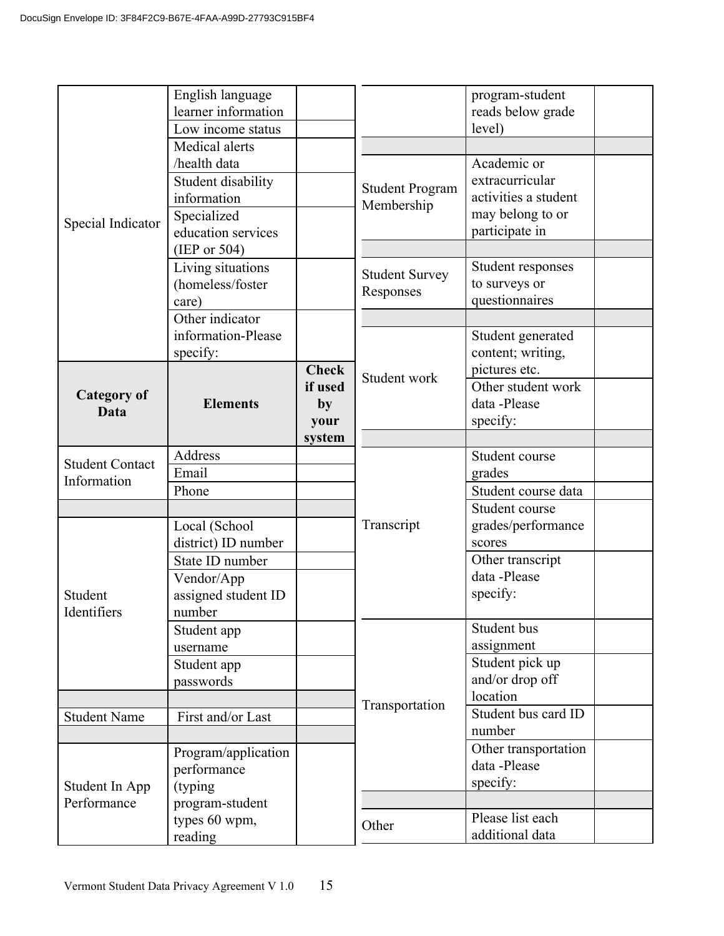| Special Indicator             | English language<br>learner information<br>Low income status<br>Medical alerts<br>/health data<br>Student disability<br>information<br>Specialized<br>education services<br>(IEP or $504$ ) |                                       | <b>Student Program</b><br>Membership | program-student<br>reads below grade<br>level)<br>Academic or<br>extracurricular<br>activities a student<br>may belong to or<br>participate in |  |
|-------------------------------|---------------------------------------------------------------------------------------------------------------------------------------------------------------------------------------------|---------------------------------------|--------------------------------------|------------------------------------------------------------------------------------------------------------------------------------------------|--|
|                               | Living situations<br>(homeless/foster<br>care)<br>Other indicator                                                                                                                           |                                       | <b>Student Survey</b><br>Responses   | Student responses<br>to surveys or<br>questionnaires                                                                                           |  |
|                               | information-Please<br>specify:                                                                                                                                                              |                                       |                                      | Student generated<br>content; writing,                                                                                                         |  |
| <b>Category of</b><br>Data    | <b>Elements</b>                                                                                                                                                                             | <b>Check</b><br>if used<br>by<br>your | Student work                         | pictures etc.<br>Other student work<br>data -Please<br>specify:                                                                                |  |
|                               | Address                                                                                                                                                                                     | system                                |                                      | Student course                                                                                                                                 |  |
| <b>Student Contact</b>        | Email                                                                                                                                                                                       |                                       |                                      | grades                                                                                                                                         |  |
| Information                   | Phone                                                                                                                                                                                       |                                       |                                      | Student course data                                                                                                                            |  |
|                               |                                                                                                                                                                                             |                                       |                                      | Student course                                                                                                                                 |  |
|                               | Local (School                                                                                                                                                                               |                                       | Transcript                           | grades/performance                                                                                                                             |  |
|                               | district) ID number                                                                                                                                                                         |                                       |                                      | scores                                                                                                                                         |  |
|                               | State ID number                                                                                                                                                                             |                                       |                                      | Other transcript                                                                                                                               |  |
|                               | Vendor/App                                                                                                                                                                                  |                                       |                                      | data -Please                                                                                                                                   |  |
| Student                       | assigned student ID                                                                                                                                                                         |                                       |                                      | specify:                                                                                                                                       |  |
| Identifiers                   | number                                                                                                                                                                                      |                                       |                                      |                                                                                                                                                |  |
|                               | Student app                                                                                                                                                                                 |                                       |                                      | Student bus                                                                                                                                    |  |
|                               | username                                                                                                                                                                                    |                                       |                                      | assignment                                                                                                                                     |  |
|                               | Student app                                                                                                                                                                                 |                                       |                                      | Student pick up                                                                                                                                |  |
|                               | passwords                                                                                                                                                                                   |                                       |                                      | and/or drop off<br>location                                                                                                                    |  |
|                               |                                                                                                                                                                                             |                                       | Transportation                       | Student bus card ID                                                                                                                            |  |
| <b>Student Name</b>           | First and/or Last                                                                                                                                                                           |                                       |                                      | number                                                                                                                                         |  |
|                               |                                                                                                                                                                                             |                                       |                                      | Other transportation                                                                                                                           |  |
|                               | Program/application                                                                                                                                                                         |                                       |                                      | data -Please                                                                                                                                   |  |
|                               | performance                                                                                                                                                                                 |                                       |                                      | specify:                                                                                                                                       |  |
| Student In App<br>Performance | (typing)<br>program-student                                                                                                                                                                 |                                       |                                      |                                                                                                                                                |  |
|                               | types 60 wpm,                                                                                                                                                                               |                                       |                                      | Please list each                                                                                                                               |  |
|                               | reading                                                                                                                                                                                     |                                       | Other                                | additional data                                                                                                                                |  |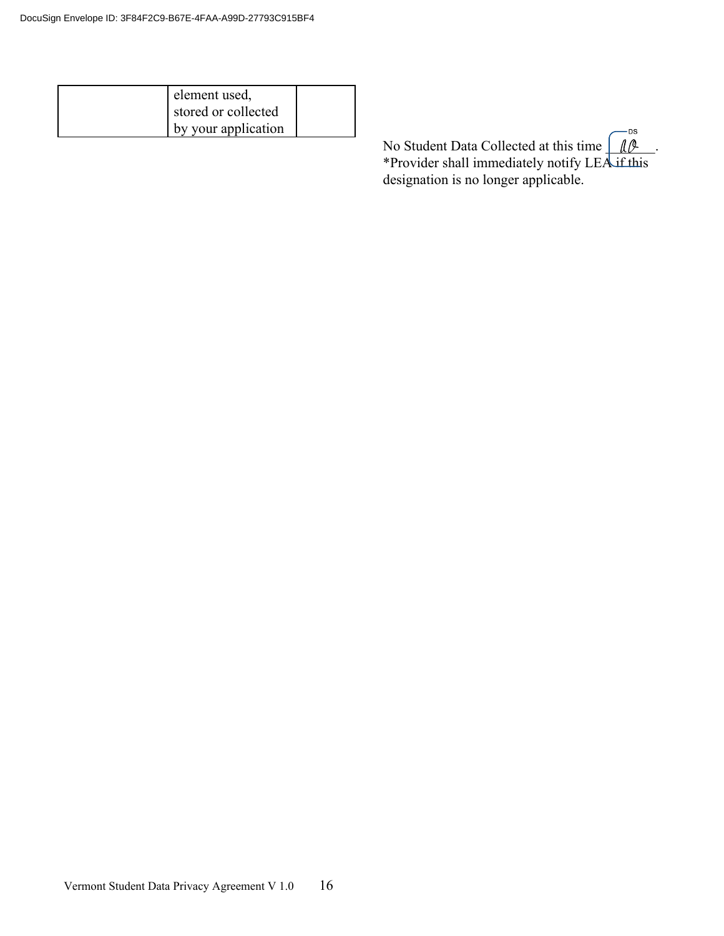| element used,       |  |
|---------------------|--|
| stored or collected |  |
| by your application |  |

-DS No Student Data Collected at this time  $\frac{d\mathcal{L}}{dt}$ . \*Provider shall immediately notify LEA if this designation is no longer applicable.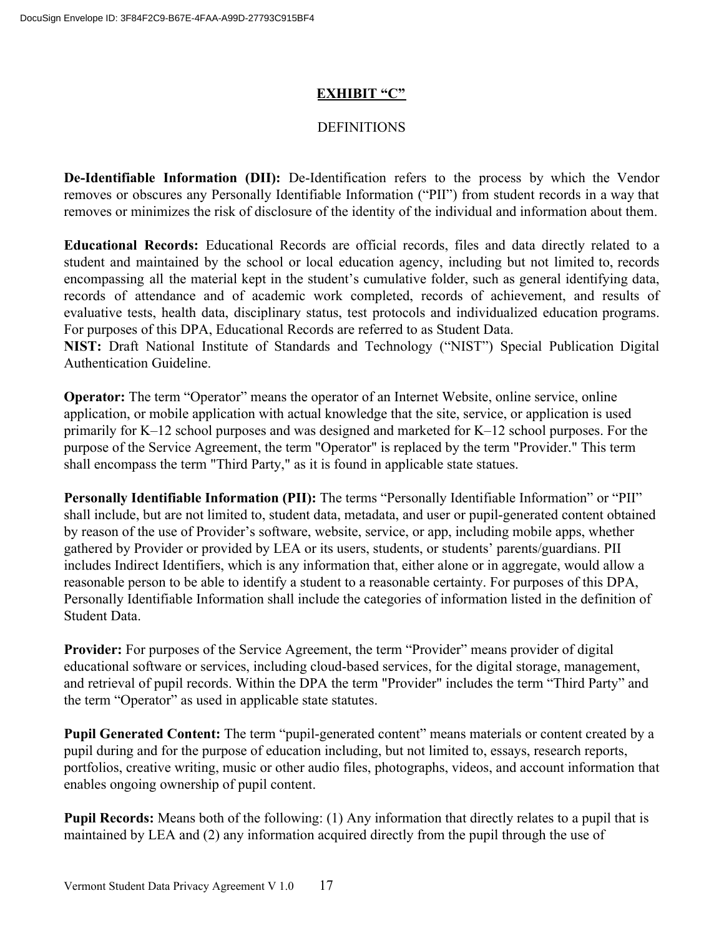#### **EXHIBIT "C"**

### **DEFINITIONS**

**De-Identifiable Information (DII):** De-Identification refers to the process by which the Vendor removes or obscures any Personally Identifiable Information ("PII") from student records in a way that removes or minimizes the risk of disclosure of the identity of the individual and information about them.

**Educational Records:** Educational Records are official records, files and data directly related to a student and maintained by the school or local education agency, including but not limited to, records encompassing all the material kept in the student's cumulative folder, such as general identifying data, records of attendance and of academic work completed, records of achievement, and results of evaluative tests, health data, disciplinary status, test protocols and individualized education programs. For purposes of this DPA, Educational Records are referred to as Student Data.

**NIST:** Draft National Institute of Standards and Technology ("NIST") Special Publication Digital Authentication Guideline.

**Operator:** The term "Operator" means the operator of an Internet Website, online service, online application, or mobile application with actual knowledge that the site, service, or application is used primarily for K–12 school purposes and was designed and marketed for K–12 school purposes. For the purpose of the Service Agreement, the term "Operator" is replaced by the term "Provider." This term shall encompass the term "Third Party," as it is found in applicable state statues.

**Personally Identifiable Information (PII):** The terms "Personally Identifiable Information" or "PII" shall include, but are not limited to, student data, metadata, and user or pupil-generated content obtained by reason of the use of Provider's software, website, service, or app, including mobile apps, whether gathered by Provider or provided by LEA or its users, students, or students' parents/guardians. PII includes Indirect Identifiers, which is any information that, either alone or in aggregate, would allow a reasonable person to be able to identify a student to a reasonable certainty. For purposes of this DPA, Personally Identifiable Information shall include the categories of information listed in the definition of Student Data.

**Provider:** For purposes of the Service Agreement, the term "Provider" means provider of digital educational software or services, including cloud-based services, for the digital storage, management, and retrieval of pupil records. Within the DPA the term "Provider" includes the term "Third Party" and the term "Operator" as used in applicable state statutes.

**Pupil Generated Content:** The term "pupil-generated content" means materials or content created by a pupil during and for the purpose of education including, but not limited to, essays, research reports, portfolios, creative writing, music or other audio files, photographs, videos, and account information that enables ongoing ownership of pupil content.

**Pupil Records:** Means both of the following: (1) Any information that directly relates to a pupil that is maintained by LEA and (2) any information acquired directly from the pupil through the use of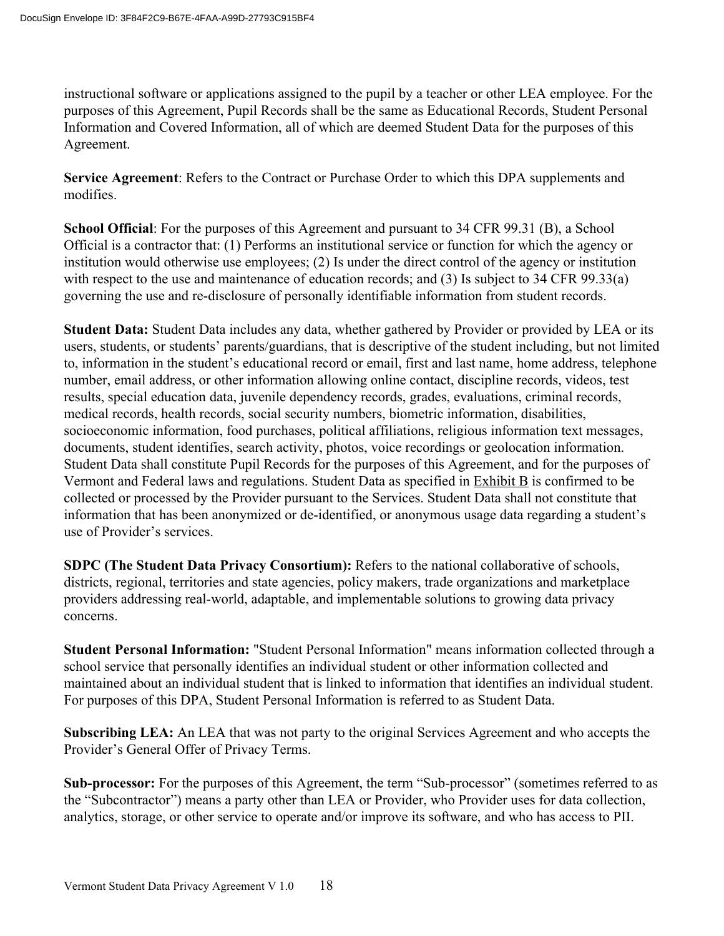instructional software or applications assigned to the pupil by a teacher or other LEA employee. For the purposes of this Agreement, Pupil Records shall be the same as Educational Records, Student Personal Information and Covered Information, all of which are deemed Student Data for the purposes of this Agreement.

**Service Agreement**: Refers to the Contract or Purchase Order to which this DPA supplements and modifies.

**School Official**: For the purposes of this Agreement and pursuant to 34 CFR 99.31 (B), a School Official is a contractor that: (1) Performs an institutional service or function for which the agency or institution would otherwise use employees; (2) Is under the direct control of the agency or institution with respect to the use and maintenance of education records; and (3) Is subject to 34 CFR 99.33(a) governing the use and re-disclosure of personally identifiable information from student records.

**Student Data:** Student Data includes any data, whether gathered by Provider or provided by LEA or its users, students, or students' parents/guardians, that is descriptive of the student including, but not limited to, information in the student's educational record or email, first and last name, home address, telephone number, email address, or other information allowing online contact, discipline records, videos, test results, special education data, juvenile dependency records, grades, evaluations, criminal records, medical records, health records, social security numbers, biometric information, disabilities, socioeconomic information, food purchases, political affiliations, religious information text messages, documents, student identifies, search activity, photos, voice recordings or geolocation information. Student Data shall constitute Pupil Records for the purposes of this Agreement, and for the purposes of Vermont and Federal laws and regulations. Student Data as specified in  $Exhibit B$  is confirmed to be collected or processed by the Provider pursuant to the Services. Student Data shall not constitute that information that has been anonymized or de-identified, or anonymous usage data regarding a student's use of Provider's services.

**SDPC (The Student Data Privacy Consortium):** Refers to the national collaborative of schools, districts, regional, territories and state agencies, policy makers, trade organizations and marketplace providers addressing real-world, adaptable, and implementable solutions to growing data privacy concerns.

**Student Personal Information:** "Student Personal Information" means information collected through a school service that personally identifies an individual student or other information collected and maintained about an individual student that is linked to information that identifies an individual student. For purposes of this DPA, Student Personal Information is referred to as Student Data.

**Subscribing LEA:** An LEA that was not party to the original Services Agreement and who accepts the Provider's General Offer of Privacy Terms.

**Sub-processor:** For the purposes of this Agreement, the term "Sub-processor" (sometimes referred to as the "Subcontractor") means a party other than LEA or Provider, who Provider uses for data collection, analytics, storage, or other service to operate and/or improve its software, and who has access to PII.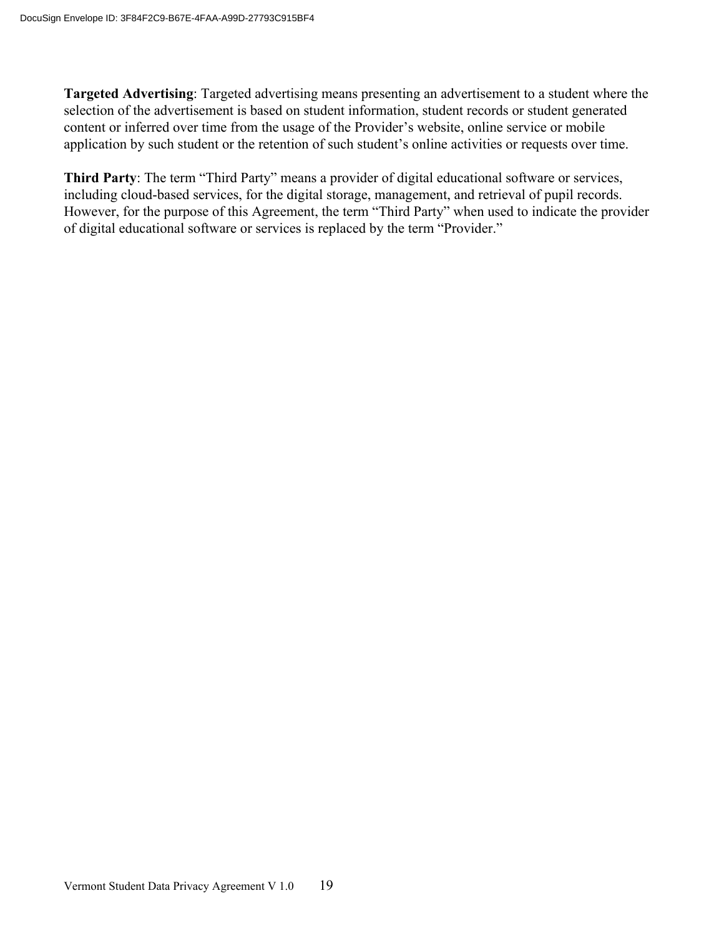**Targeted Advertising**: Targeted advertising means presenting an advertisement to a student where the selection of the advertisement is based on student information, student records or student generated content or inferred over time from the usage of the Provider's website, online service or mobile application by such student or the retention of such student's online activities or requests over time.

**Third Party**: The term "Third Party" means a provider of digital educational software or services, including cloud-based services, for the digital storage, management, and retrieval of pupil records. However, for the purpose of this Agreement, the term "Third Party" when used to indicate the provider of digital educational software or services is replaced by the term "Provider."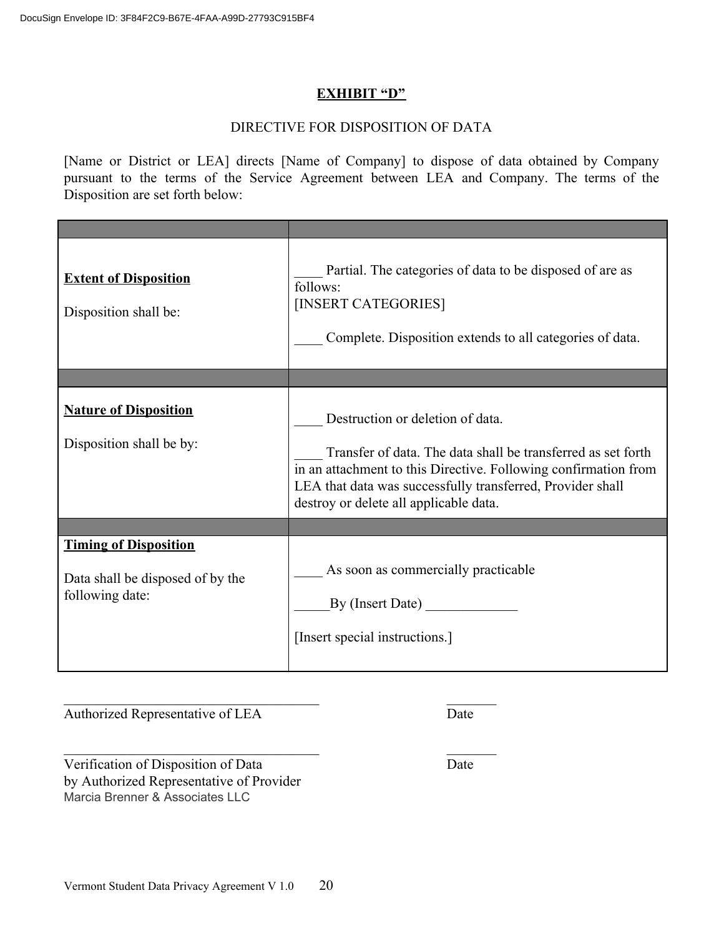#### **EXHIBIT "D"**

#### DIRECTIVE FOR DISPOSITION OF DATA

[Name or District or LEA] directs [Name of Company] to dispose of data obtained by Company pursuant to the terms of the Service Agreement between LEA and Company. The terms of the Disposition are set forth below:

| <b>Extent of Disposition</b><br>Disposition shall be:                               | Partial. The categories of data to be disposed of are as<br>follows:<br>[INSERT CATEGORIES]<br>Complete. Disposition extends to all categories of data.                                                                                                                     |
|-------------------------------------------------------------------------------------|-----------------------------------------------------------------------------------------------------------------------------------------------------------------------------------------------------------------------------------------------------------------------------|
|                                                                                     |                                                                                                                                                                                                                                                                             |
| <b>Nature of Disposition</b><br>Disposition shall be by:                            | Destruction or deletion of data.<br>Transfer of data. The data shall be transferred as set forth<br>in an attachment to this Directive. Following confirmation from<br>LEA that data was successfully transferred, Provider shall<br>destroy or delete all applicable data. |
|                                                                                     |                                                                                                                                                                                                                                                                             |
| <b>Timing of Disposition</b><br>Data shall be disposed of by the<br>following date: | As soon as commercially practicable<br>By (Insert Date)<br>[Insert special instructions.]                                                                                                                                                                                   |

Authorized Representative of LEA Date

Verification of Disposition of Data Date by Authorized Representative of Provider Marcia Brenner & Associates LLC

 $\mathcal{L}_\text{max}$  , and the contract of the contract of the contract of the contract of the contract of the contract of

 $\mathcal{L}_\text{max}$  , and the contract of the contract of the contract of the contract of the contract of the contract of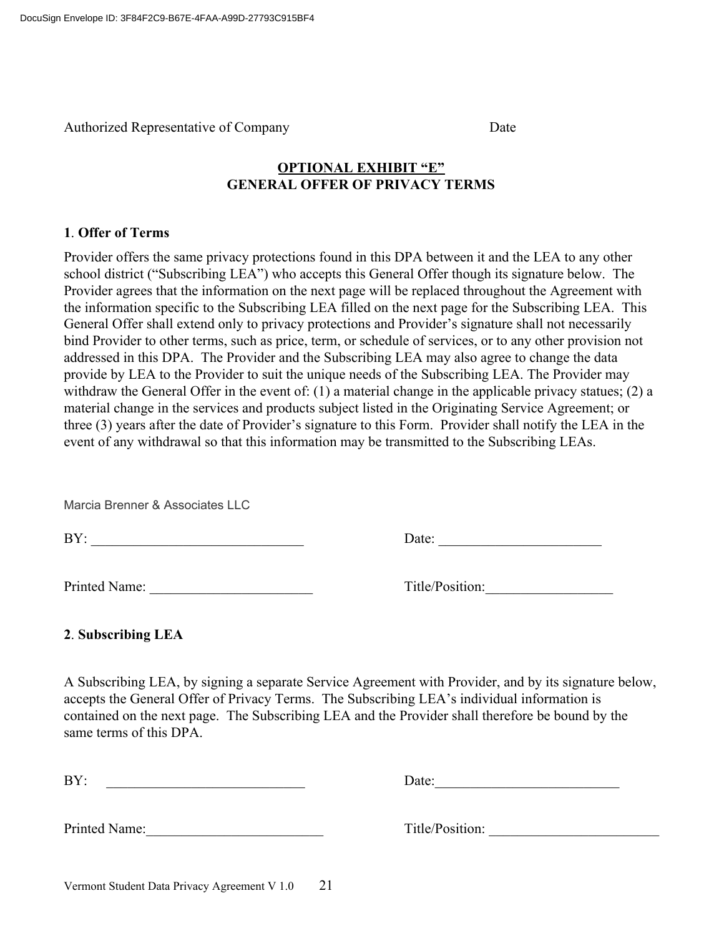Authorized Representative of Company Date

## **OPTIONAL EXHIBIT "E" GENERAL OFFER OF PRIVACY TERMS**

#### **1**. **Offer of Terms**

Provider offers the same privacy protections found in this DPA between it and the LEA to any other school district ("Subscribing LEA") who accepts this General Offer though its signature below. The Provider agrees that the information on the next page will be replaced throughout the Agreement with the information specific to the Subscribing LEA filled on the next page for the Subscribing LEA. This General Offer shall extend only to privacy protections and Provider's signature shall not necessarily bind Provider to other terms, such as price, term, or schedule of services, or to any other provision not addressed in this DPA. The Provider and the Subscribing LEA may also agree to change the data provide by LEA to the Provider to suit the unique needs of the Subscribing LEA. The Provider may withdraw the General Offer in the event of: (1) a material change in the applicable privacy statues; (2) a material change in the services and products subject listed in the Originating Service Agreement; or three (3) years after the date of Provider's signature to this Form. Provider shall notify the LEA in the event of any withdrawal so that this information may be transmitted to the Subscribing LEAs.

| Marcia Brenner & Associates LLC |                                                                                                                                                                                                      |
|---------------------------------|------------------------------------------------------------------------------------------------------------------------------------------------------------------------------------------------------|
| BY:                             | Date:                                                                                                                                                                                                |
|                                 | Title/Position:                                                                                                                                                                                      |
| 2. Subscribing LEA              |                                                                                                                                                                                                      |
|                                 | A Subscribing LEA, by signing a separate Service Agreement with Provider, and by its signature below,<br>accepts the General Offer of Privacy Terms. The Subscribing LEA's individual information is |

accepts the General Offer of Privacy Terms. The Subscribing LEA's individual information is contained on the next page. The Subscribing LEA and the Provider shall therefore be bound by the same terms of this DPA.

| BY: |  |
|-----|--|
|     |  |

Date:

| Printed Name: |  |
|---------------|--|
|---------------|--|

Title/Position: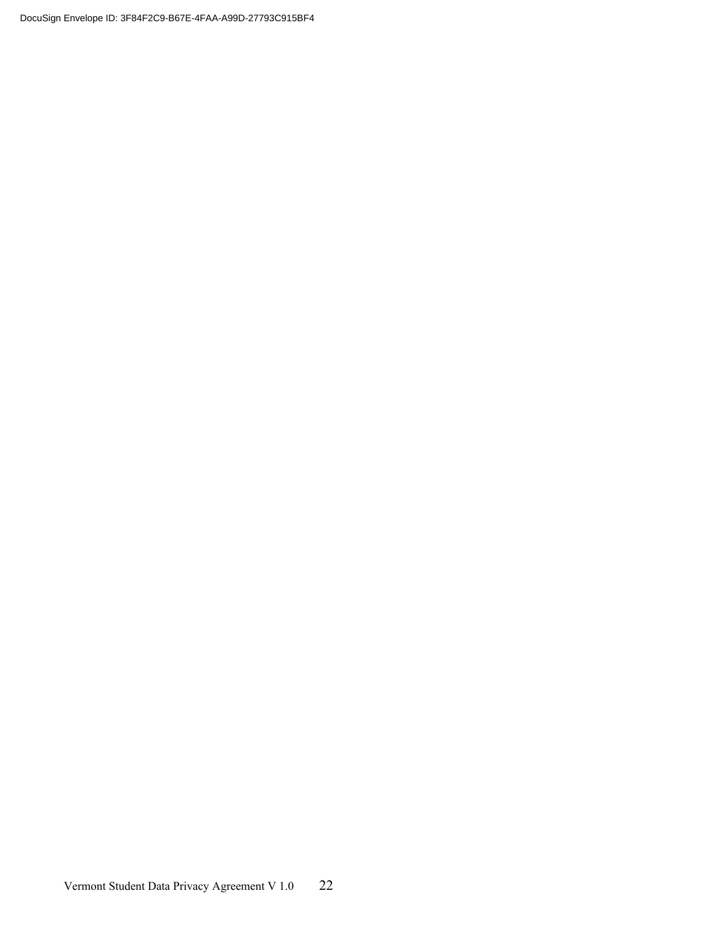DocuSign Envelope ID: 3F84F2C9-B67E-4FAA-A99D-27793C915BF4